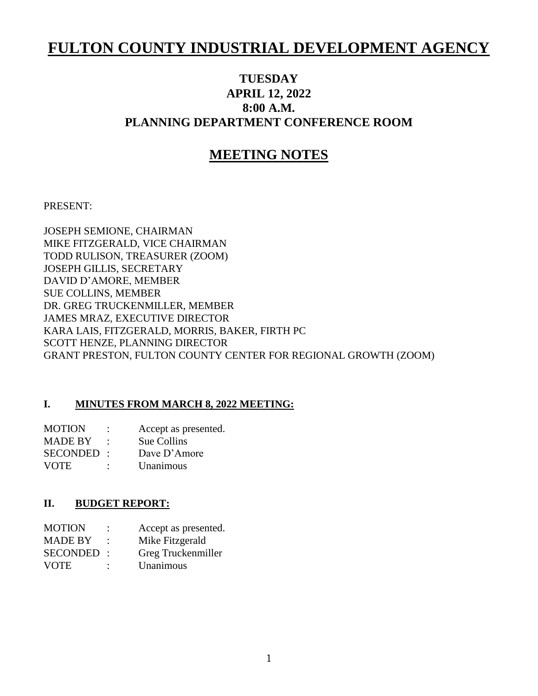# **FULTON COUNTY INDUSTRIAL DEVELOPMENT AGENCY**

## **TUESDAY APRIL 12, 2022 8:00 A.M. PLANNING DEPARTMENT CONFERENCE ROOM**

## **MEETING NOTES**

PRESENT:

JOSEPH SEMIONE, CHAIRMAN MIKE FITZGERALD, VICE CHAIRMAN TODD RULISON, TREASURER (ZOOM) JOSEPH GILLIS, SECRETARY DAVID D'AMORE, MEMBER SUE COLLINS, MEMBER DR. GREG TRUCKENMILLER, MEMBER JAMES MRAZ, EXECUTIVE DIRECTOR KARA LAIS, FITZGERALD, MORRIS, BAKER, FIRTH PC SCOTT HENZE, PLANNING DIRECTOR GRANT PRESTON, FULTON COUNTY CENTER FOR REGIONAL GROWTH (ZOOM)

#### **I. MINUTES FROM MARCH 8, 2022 MEETING:**

| <b>MOTION</b>   |        | Accept as presented. |
|-----------------|--------|----------------------|
| <b>MADE BY</b>  |        | Sue Collins          |
| <b>SECONDED</b> | $\sim$ | Dave $D'$ Amore      |
| <b>VOTE</b>     | ٠      | Unanimous            |

#### **II. BUDGET REPORT:**

| <b>MOTION</b>  |   | Accept as presented. |
|----------------|---|----------------------|
| <b>MADE BY</b> |   | Mike Fitzgerald      |
| SECONDED:      |   | Greg Truckenmiller   |
| <b>VOTE</b>    | ٠ | Unanimous            |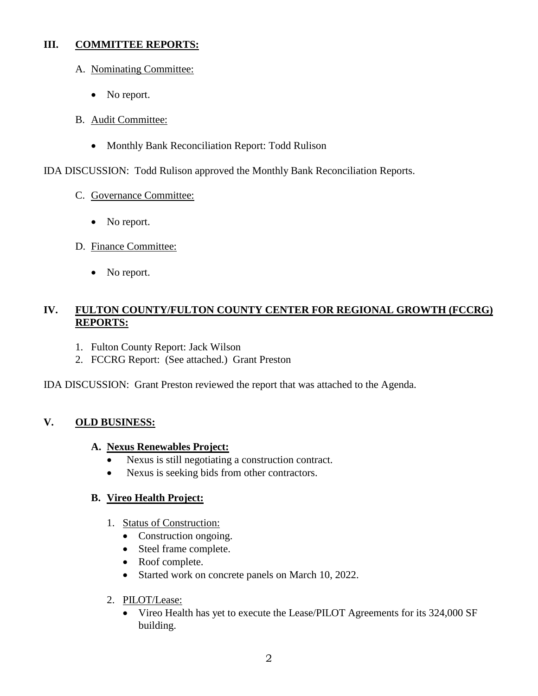### **III. COMMITTEE REPORTS:**

- A. Nominating Committee:
	- No report.
- B. Audit Committee:
	- Monthly Bank Reconciliation Report: Todd Rulison

IDA DISCUSSION: Todd Rulison approved the Monthly Bank Reconciliation Reports.

- C. Governance Committee:
	- No report.
- D. Finance Committee:
	- No report.

## **IV. FULTON COUNTY/FULTON COUNTY CENTER FOR REGIONAL GROWTH (FCCRG) REPORTS:**

- 1. Fulton County Report: Jack Wilson
- 2. FCCRG Report: (See attached.) Grant Preston

IDA DISCUSSION: Grant Preston reviewed the report that was attached to the Agenda.

## **V. OLD BUSINESS:**

### **A. Nexus Renewables Project:**

- Nexus is still negotiating a construction contract.
- Nexus is seeking bids from other contractors.

## **B. Vireo Health Project:**

- 1. Status of Construction:
	- Construction ongoing.
	- Steel frame complete.
	- Roof complete.
	- Started work on concrete panels on March 10, 2022.
- 2. PILOT/Lease:
	- Vireo Health has yet to execute the Lease/PILOT Agreements for its 324,000 SF building.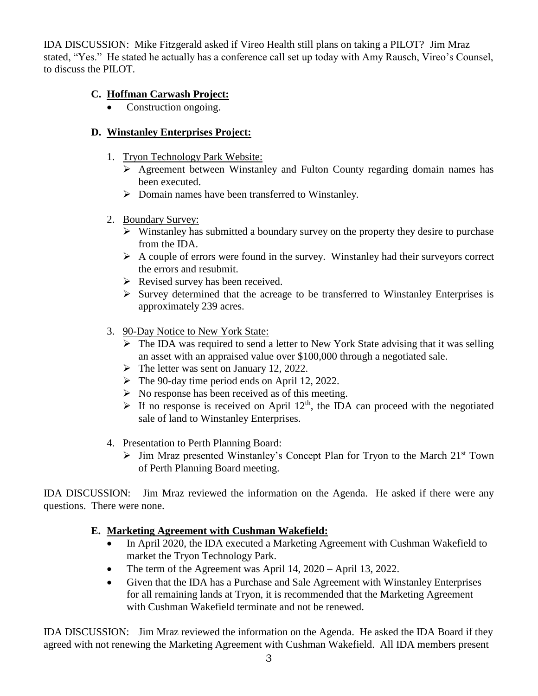IDA DISCUSSION: Mike Fitzgerald asked if Vireo Health still plans on taking a PILOT? Jim Mraz stated, "Yes." He stated he actually has a conference call set up today with Amy Rausch, Vireo's Counsel, to discuss the PILOT.

## **C. Hoffman Carwash Project:**

Construction ongoing.

## **D. Winstanley Enterprises Project:**

- 1. Tryon Technology Park Website:
	- $\triangleright$  Agreement between Winstanley and Fulton County regarding domain names has been executed.
	- $\triangleright$  Domain names have been transferred to Winstanley.
- 2. Boundary Survey:
	- $\triangleright$  Winstanley has submitted a boundary survey on the property they desire to purchase from the IDA.
	- $\triangleright$  A couple of errors were found in the survey. Winstanley had their surveyors correct the errors and resubmit.
	- $\triangleright$  Revised survey has been received.
	- $\triangleright$  Survey determined that the acreage to be transferred to Winstanley Enterprises is approximately 239 acres.
- 3. 90-Day Notice to New York State:
	- $\triangleright$  The IDA was required to send a letter to New York State advising that it was selling an asset with an appraised value over \$100,000 through a negotiated sale.
	- $\triangleright$  The letter was sent on January 12, 2022.
	- $\triangleright$  The 90-day time period ends on April 12, 2022.
	- $\triangleright$  No response has been received as of this meeting.
	- $\triangleright$  If no response is received on April 12<sup>th</sup>, the IDA can proceed with the negotiated sale of land to Winstanley Enterprises.
- 4. Presentation to Perth Planning Board:
	- $\triangleright$  Jim Mraz presented Winstanley's Concept Plan for Tryon to the March 21<sup>st</sup> Town of Perth Planning Board meeting.

IDA DISCUSSION: Jim Mraz reviewed the information on the Agenda. He asked if there were any questions. There were none.

## **E. Marketing Agreement with Cushman Wakefield:**

- In April 2020, the IDA executed a Marketing Agreement with Cushman Wakefield to market the Tryon Technology Park.
- The term of the Agreement was April 14, 2020 April 13, 2022.
- Given that the IDA has a Purchase and Sale Agreement with Winstanley Enterprises for all remaining lands at Tryon, it is recommended that the Marketing Agreement with Cushman Wakefield terminate and not be renewed.

IDA DISCUSSION: Jim Mraz reviewed the information on the Agenda. He asked the IDA Board if they agreed with not renewing the Marketing Agreement with Cushman Wakefield. All IDA members present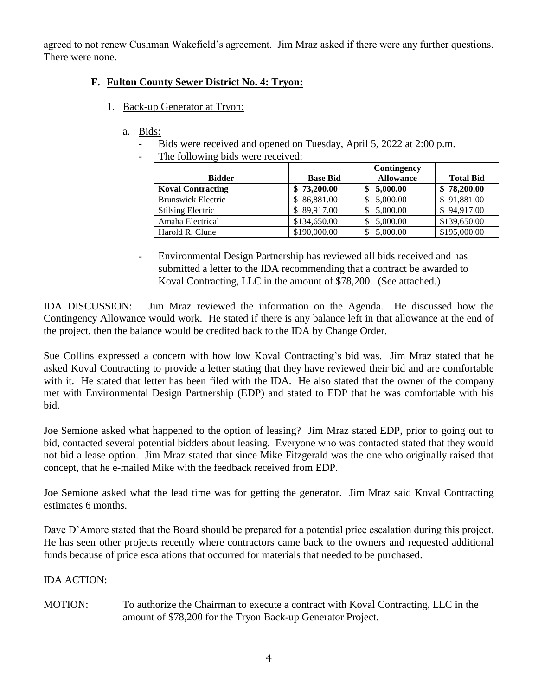agreed to not renew Cushman Wakefield's agreement. Jim Mraz asked if there were any further questions. There were none.

## **F. Fulton County Sewer District No. 4: Tryon:**

- 1. Back-up Generator at Tryon:
	- a. Bids:
		- Bids were received and opened on Tuesday, April 5, 2022 at 2:00 p.m.
		- The following bids were received:

|                           |                 | Contingency      |                  |
|---------------------------|-----------------|------------------|------------------|
| <b>Bidder</b>             | <b>Base Bid</b> | <b>Allowance</b> | <b>Total Bid</b> |
| <b>Koval Contracting</b>  | 73,200.00       | 5,000.00         | 78,200.00        |
| <b>Brunswick Electric</b> | \$86,881.00     | 5,000.00         | 91,881.00<br>S.  |
| <b>Stilsing Electric</b>  | \$89,917.00     | 5,000.00         | \$94,917.00      |
| Amaha Electrical          | \$134,650.00    | 5,000.00         | \$139,650.00     |
| Harold R. Clune           | \$190,000.00    | 5,000.00         | \$195,000.00     |

- Environmental Design Partnership has reviewed all bids received and has submitted a letter to the IDA recommending that a contract be awarded to Koval Contracting, LLC in the amount of \$78,200. (See attached.)

IDA DISCUSSION: Jim Mraz reviewed the information on the Agenda. He discussed how the Contingency Allowance would work. He stated if there is any balance left in that allowance at the end of the project, then the balance would be credited back to the IDA by Change Order.

Sue Collins expressed a concern with how low Koval Contracting's bid was. Jim Mraz stated that he asked Koval Contracting to provide a letter stating that they have reviewed their bid and are comfortable with it. He stated that letter has been filed with the IDA. He also stated that the owner of the company met with Environmental Design Partnership (EDP) and stated to EDP that he was comfortable with his bid.

Joe Semione asked what happened to the option of leasing? Jim Mraz stated EDP, prior to going out to bid, contacted several potential bidders about leasing. Everyone who was contacted stated that they would not bid a lease option. Jim Mraz stated that since Mike Fitzgerald was the one who originally raised that concept, that he e-mailed Mike with the feedback received from EDP.

Joe Semione asked what the lead time was for getting the generator. Jim Mraz said Koval Contracting estimates 6 months.

Dave D'Amore stated that the Board should be prepared for a potential price escalation during this project. He has seen other projects recently where contractors came back to the owners and requested additional funds because of price escalations that occurred for materials that needed to be purchased.

### IDA ACTION:

MOTION: To authorize the Chairman to execute a contract with Koval Contracting, LLC in the amount of \$78,200 for the Tryon Back-up Generator Project.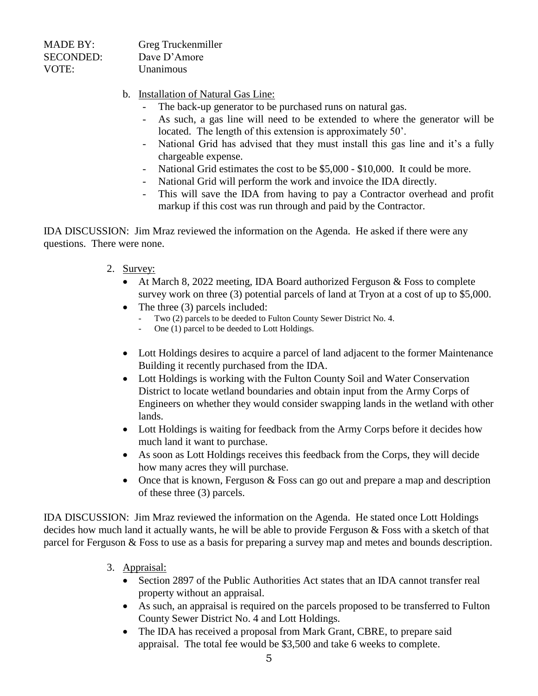| <b>MADE BY:</b>  | Greg Truckenmiller |
|------------------|--------------------|
| <b>SECONDED:</b> | Dave D'Amore       |
| VOTE:            | Unanimous          |

- b. Installation of Natural Gas Line:
	- The back-up generator to be purchased runs on natural gas.
	- As such, a gas line will need to be extended to where the generator will be located. The length of this extension is approximately 50'.
	- National Grid has advised that they must install this gas line and it's a fully chargeable expense.
	- National Grid estimates the cost to be \$5,000 \$10,000. It could be more.
	- National Grid will perform the work and invoice the IDA directly.
	- This will save the IDA from having to pay a Contractor overhead and profit markup if this cost was run through and paid by the Contractor.

IDA DISCUSSION: Jim Mraz reviewed the information on the Agenda. He asked if there were any questions. There were none.

- 2. Survey:
	- At March 8, 2022 meeting, IDA Board authorized Ferguson & Foss to complete survey work on three (3) potential parcels of land at Tryon at a cost of up to \$5,000.
	- The three (3) parcels included:
		- Two (2) parcels to be deeded to Fulton County Sewer District No. 4.
		- One (1) parcel to be deeded to Lott Holdings.
	- Lott Holdings desires to acquire a parcel of land adjacent to the former Maintenance Building it recently purchased from the IDA.
	- Lott Holdings is working with the Fulton County Soil and Water Conservation District to locate wetland boundaries and obtain input from the Army Corps of Engineers on whether they would consider swapping lands in the wetland with other lands.
	- Lott Holdings is waiting for feedback from the Army Corps before it decides how much land it want to purchase.
	- As soon as Lott Holdings receives this feedback from the Corps, they will decide how many acres they will purchase.
	- Once that is known, Ferguson  $& F$  Foss can go out and prepare a map and description of these three (3) parcels.

IDA DISCUSSION: Jim Mraz reviewed the information on the Agenda. He stated once Lott Holdings decides how much land it actually wants, he will be able to provide Ferguson & Foss with a sketch of that parcel for Ferguson & Foss to use as a basis for preparing a survey map and metes and bounds description.

- 3. Appraisal:
	- Section 2897 of the Public Authorities Act states that an IDA cannot transfer real property without an appraisal.
	- As such, an appraisal is required on the parcels proposed to be transferred to Fulton County Sewer District No. 4 and Lott Holdings.
	- The IDA has received a proposal from Mark Grant, CBRE, to prepare said appraisal. The total fee would be \$3,500 and take 6 weeks to complete.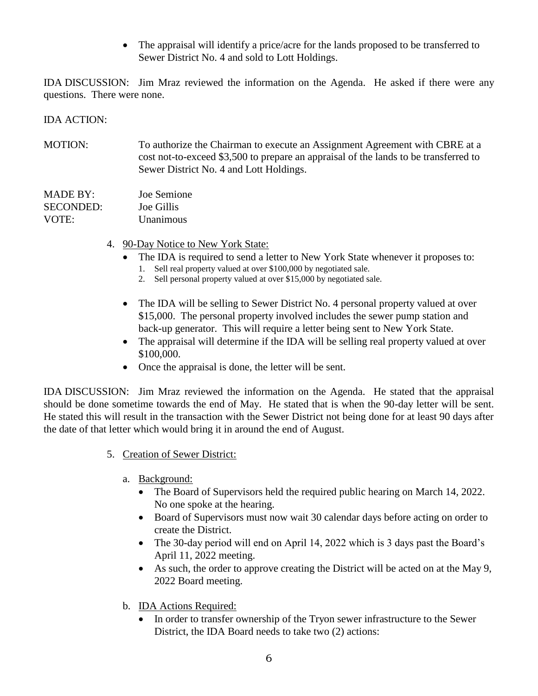The appraisal will identify a price/acre for the lands proposed to be transferred to Sewer District No. 4 and sold to Lott Holdings.

IDA DISCUSSION: Jim Mraz reviewed the information on the Agenda. He asked if there were any questions. There were none.

#### IDA ACTION:

MOTION: To authorize the Chairman to execute an Assignment Agreement with CBRE at a cost not-to-exceed \$3,500 to prepare an appraisal of the lands to be transferred to Sewer District No. 4 and Lott Holdings.

| MADE BY:         | Joe Semione      |
|------------------|------------------|
| <b>SECONDED:</b> | Joe Gillis       |
| VOTE:            | <b>Unanimous</b> |

- 4. 90-Day Notice to New York State:
	- The IDA is required to send a letter to New York State whenever it proposes to:
		- 1. Sell real property valued at over \$100,000 by negotiated sale.
		- 2. Sell personal property valued at over \$15,000 by negotiated sale.
	- The IDA will be selling to Sewer District No. 4 personal property valued at over \$15,000. The personal property involved includes the sewer pump station and back-up generator. This will require a letter being sent to New York State.
	- The appraisal will determine if the IDA will be selling real property valued at over \$100,000.
	- Once the appraisal is done, the letter will be sent.

IDA DISCUSSION: Jim Mraz reviewed the information on the Agenda. He stated that the appraisal should be done sometime towards the end of May. He stated that is when the 90-day letter will be sent. He stated this will result in the transaction with the Sewer District not being done for at least 90 days after the date of that letter which would bring it in around the end of August.

- 5. Creation of Sewer District:
	- a. Background:
		- The Board of Supervisors held the required public hearing on March 14, 2022. No one spoke at the hearing.
		- Board of Supervisors must now wait 30 calendar days before acting on order to create the District.
		- The 30-day period will end on April 14, 2022 which is 3 days past the Board's April 11, 2022 meeting.
		- As such, the order to approve creating the District will be acted on at the May 9, 2022 Board meeting.
	- b. IDA Actions Required:
		- In order to transfer ownership of the Tryon sewer infrastructure to the Sewer District, the IDA Board needs to take two (2) actions: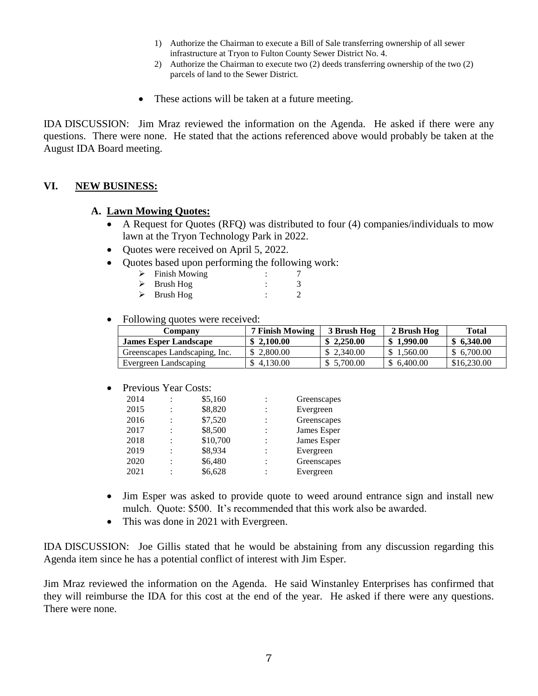- 1) Authorize the Chairman to execute a Bill of Sale transferring ownership of all sewer infrastructure at Tryon to Fulton County Sewer District No. 4.
- 2) Authorize the Chairman to execute two (2) deeds transferring ownership of the two (2) parcels of land to the Sewer District.
- These actions will be taken at a future meeting.

IDA DISCUSSION: Jim Mraz reviewed the information on the Agenda. He asked if there were any questions. There were none. He stated that the actions referenced above would probably be taken at the August IDA Board meeting.

#### **VI. NEW BUSINESS:**

#### **A. Lawn Mowing Quotes:**

- A Request for Quotes (RFQ) was distributed to four (4) companies/individuals to mow lawn at the Tryon Technology Park in 2022.
- Quotes were received on April 5, 2022.
- Quotes based upon performing the following work:

| Finish Mowing |  |
|---------------|--|
| Brush Hog     |  |
|               |  |

- $\triangleright$  Brush Hog : 2
- Following quotes were received:

| Company                       | 7 Finish Mowing | 3 Brush Hog | 2 Brush Hog | Total       |
|-------------------------------|-----------------|-------------|-------------|-------------|
| <b>James Esper Landscape</b>  | \$2.100.00      | \$2,250.00  | \$1.990.00  | \$6,340.00  |
| Greenscapes Landscaping, Inc. | \$ 2,800.00     | \$2,340.00  | \$1.560.00  | \$ 6,700.00 |
| Evergreen Landscaping         | \$4.130.00      | \$ 5.700.00 | \$6,400.00  | \$16,230.00 |

• Previous Year Costs:

| 2014 |   | \$5,160  | Greenscapes |
|------|---|----------|-------------|
| 2015 | ٠ | \$8,820  | Evergreen   |
| 2016 |   | \$7,520  | Greenscapes |
| 2017 |   | \$8,500  | James Esper |
| 2018 | ٠ | \$10,700 | James Esper |
| 2019 |   | \$8,934  | Evergreen   |
| 2020 | ٠ | \$6,480  | Greenscapes |
| 2021 |   | \$6,628  | Evergreen   |
|      |   |          |             |

- Jim Esper was asked to provide quote to weed around entrance sign and install new mulch. Quote: \$500. It's recommended that this work also be awarded.
- This was done in 2021 with Evergreen.

IDA DISCUSSION: Joe Gillis stated that he would be abstaining from any discussion regarding this Agenda item since he has a potential conflict of interest with Jim Esper.

Jim Mraz reviewed the information on the Agenda. He said Winstanley Enterprises has confirmed that they will reimburse the IDA for this cost at the end of the year. He asked if there were any questions. There were none.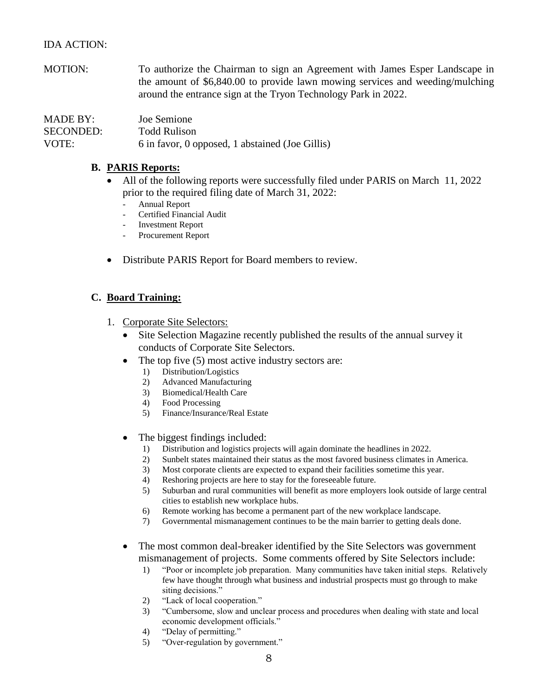#### IDA ACTION:

MOTION: To authorize the Chairman to sign an Agreement with James Esper Landscape in the amount of \$6,840.00 to provide lawn mowing services and weeding/mulching around the entrance sign at the Tryon Technology Park in 2022.

| MADE BY:         | Joe Semione                                     |
|------------------|-------------------------------------------------|
| <b>SECONDED:</b> | <b>Todd Rulison</b>                             |
| VOTE:            | 6 in favor, 0 opposed, 1 abstained (Joe Gillis) |

#### **B. PARIS Reports:**

- All of the following reports were successfully filed under PARIS on March 11, 2022 prior to the required filing date of March 31, 2022:
	- Annual Report
	- Certified Financial Audit
	- Investment Report
	- Procurement Report
- Distribute PARIS Report for Board members to review.

#### **C. Board Training:**

- 1. Corporate Site Selectors:
	- Site Selection Magazine recently published the results of the annual survey it conducts of Corporate Site Selectors.
	- The top five  $(5)$  most active industry sectors are:
		- 1) Distribution/Logistics
		- 2) Advanced Manufacturing
		- 3) Biomedical/Health Care
		- 4) Food Processing
		- 5) Finance/Insurance/Real Estate
	- The biggest findings included:
		- 1) Distribution and logistics projects will again dominate the headlines in 2022.
		- 2) Sunbelt states maintained their status as the most favored business climates in America.
		- 3) Most corporate clients are expected to expand their facilities sometime this year.
		- 4) Reshoring projects are here to stay for the foreseeable future.
		- 5) Suburban and rural communities will benefit as more employers look outside of large central cities to establish new workplace hubs.
		- 6) Remote working has become a permanent part of the new workplace landscape.
		- 7) Governmental mismanagement continues to be the main barrier to getting deals done.
	- The most common deal-breaker identified by the Site Selectors was government mismanagement of projects. Some comments offered by Site Selectors include:
		- 1) "Poor or incomplete job preparation. Many communities have taken initial steps. Relatively few have thought through what business and industrial prospects must go through to make siting decisions."
		- 2) "Lack of local cooperation."
		- 3) "Cumbersome, slow and unclear process and procedures when dealing with state and local economic development officials."
		- 4) "Delay of permitting."
		- 5) "Over-regulation by government."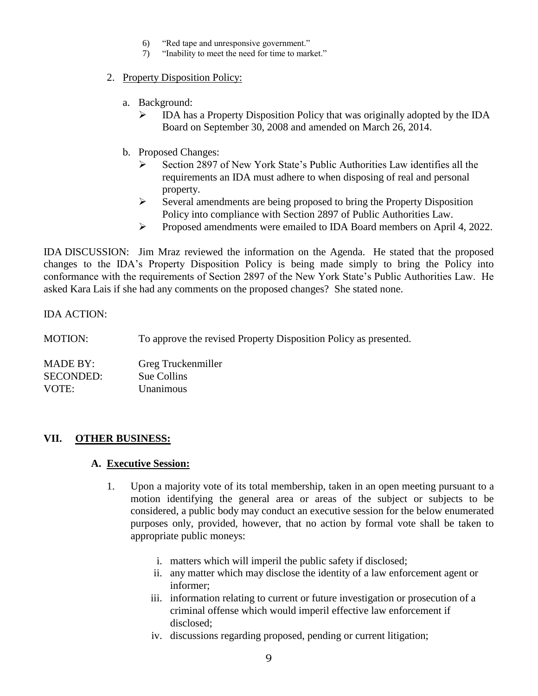- 6) "Red tape and unresponsive government."
- 7) "Inability to meet the need for time to market."

#### 2. Property Disposition Policy:

- a. Background:
	- $\triangleright$  IDA has a Property Disposition Policy that was originally adopted by the IDA Board on September 30, 2008 and amended on March 26, 2014.
- b. Proposed Changes:
	- Section 2897 of New York State's Public Authorities Law identifies all the requirements an IDA must adhere to when disposing of real and personal property.
	- $\triangleright$  Several amendments are being proposed to bring the Property Disposition Policy into compliance with Section 2897 of Public Authorities Law.
	- Proposed amendments were emailed to IDA Board members on April 4, 2022.

IDA DISCUSSION: Jim Mraz reviewed the information on the Agenda. He stated that the proposed changes to the IDA's Property Disposition Policy is being made simply to bring the Policy into conformance with the requirements of Section 2897 of the New York State's Public Authorities Law. He asked Kara Lais if she had any comments on the proposed changes? She stated none.

IDA ACTION:

MOTION: To approve the revised Property Disposition Policy as presented.

MADE BY: Greg Truckenmiller SECONDED: Sue Collins VOTE: Unanimous

### **VII. OTHER BUSINESS:**

#### **A. Executive Session:**

- 1. Upon a majority vote of its total membership, taken in an open meeting pursuant to a motion identifying the general area or areas of the subject or subjects to be considered, a public body may conduct an executive session for the below enumerated purposes only, provided, however, that no action by formal vote shall be taken to appropriate public moneys:
	- i. matters which will imperil the public safety if disclosed;
	- ii. any matter which may disclose the identity of a law enforcement agent or informer;
	- iii. information relating to current or future investigation or prosecution of a criminal offense which would imperil effective law enforcement if disclosed;
	- iv. discussions regarding proposed, pending or current litigation;